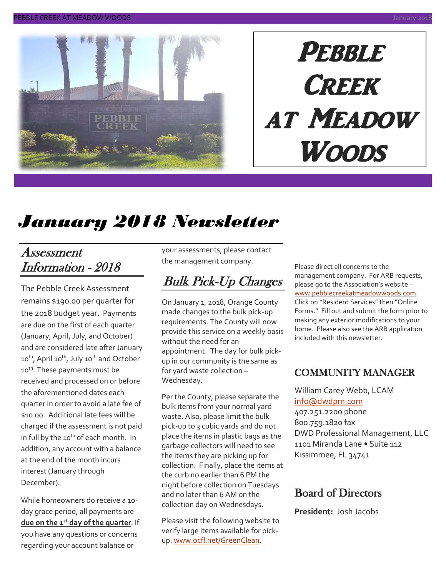

# **PEBBLE CREEK** at Meadow Woods

# *January 2018 Newsletter*

#### Assessment Information - 2018

The Pebble Creek Assessment remains \$190.00 per quarter for the 2018 budget year. Payments are due on the first of each quarter (January, April, July, and October) and are considered late after January 10<sup>th</sup>, April 10<sup>th</sup>, July 10<sup>th</sup> and October 10<sup>th</sup>. These payments must be received and processed on or before the aforementioned dates each quarter in order to avoid a late fee of \$10.00. Additional late fees will be charged if the assessment is not paid in full by the 10<sup>th</sup> of each month. In addition, any account with a balance at the end of the month incurs interest (January through December).

While homeowners do receive a 10 day grace period, all payments are **due on the 1st day of the quarter**. If you have any questions or concerns regarding your account balance or

your assessments, please contact the management company.

## Bulk Pick-Up Changes

On January 1, 2018, Orange County made changes to the bulk pick-up requirements. The County will now provide this service on a weekly basis without the need for an appointment. The day for bulk pickup in our community is the same as for yard waste collection – Wednesday.

Per the County, please separate the bulk items from your normal yard waste. Also, please limit the bulk pick-up to 3 cubic yards and do not place the items in plastic bags as the garbage collectors will need to see the items they are picking up for collection. Finally, place the items at the curb no earlier than 6 PM the night before collection on Tuesdays and no later than 6 AM on the collection day on Wednesdays.

Please visit the following website to verify large items available for pickup[: www.ocfl.net/GreenClean.](http://www.ocfl.net/GreenClean)

Please direct all concerns to the management company. For ARB requests, please go to the Association's website – [www.pebblecreekatmeadowwoods.com.](http://www.pebblecreekatmeadowwoods.com/) Click on "Resident Services" then "Online Forms." Fill out and submit the form prior to making any exterior modifications to your home. Please also see the ARB application included with this newsletter.

#### COMMUNITY MANAGER

William Carey Webb, LCAM [info@dwdpm.com](mailto:info@dwdpm.com)  407.251.2200 phone 800.759.1820 fax DWD Professional Management, LLC 1101 Miranda Lane • Suite 112 Kissimmee, FL 34741

#### Board of Directors

**President:** Josh Jacobs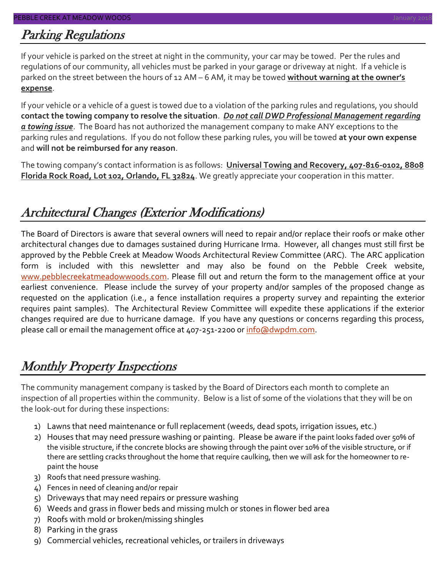### Parking Regulations

If your vehicle is parked on the street at night in the community, your car may be towed. Per the rules and regulations of our community, all vehicles must be parked in your garage or driveway at night. If a vehicle is parked on the street between the hours of 12 AM – 6 AM, it may be towed **without warning at the owner's expense**.

If your vehicle or a vehicle of a guest is towed due to a violation of the parking rules and regulations, you should **contact the towing company to resolve the situation**. *Do not call DWD Professional Management regarding a towing issue*. The Board has not authorized the management company to make ANY exceptions to the parking rules and regulations. If you do not follow these parking rules, you will be towed **at your own expense** and **will not be reimbursed for any reason**.

The towing company's contact information is as follows: **Universal Towing and Recovery, 407-816-0102, 8808 Florida Rock Road, Lot 102, Orlando, FL 32824**. We greatly appreciate your cooperation in this matter.

## Architectural Changes (Exterior Modifications)

The Board of Directors is aware that several owners will need to repair and/or replace their roofs or make other architectural changes due to damages sustained during Hurricane Irma. However, all changes must still first be approved by the Pebble Creek at Meadow Woods Architectural Review Committee (ARC). The ARC application form is included with this newsletter and may also be found on the Pebble Creek website, [www.pebblecreekatmeadowwoods.com.](http://www.pebblecreekatmeadowwoods.com/) Please fill out and return the form to the management office at your earliest convenience. Please include the survey of your property and/or samples of the proposed change as requested on the application (i.e., a fence installation requires a property survey and repainting the exterior requires paint samples). The Architectural Review Committee will expedite these applications if the exterior changes required are due to hurricane damage. If you have any questions or concerns regarding this process, please call or email the management office at 407-251-2200 or [info@dwpdm.com.](mailto:info@dwpdm.com)

## Monthly Property Inspections

The community management company is tasked by the Board of Directors each month to complete an inspection of all properties within the community. Below is a list of some of the violations that they will be on the look-out for during these inspections:

- 1) Lawns that need maintenance or full replacement (weeds, dead spots, irrigation issues, etc.)
- 2) Houses that may need pressure washing or painting. Please be aware if the paint looks faded over 50% of the visible structure, if the concrete blocks are showing through the paint over 10% of the visible structure, or if there are settling cracks throughout the home that require caulking, then we will ask for the homeowner to repaint the house
- 3) Roofs that need pressure washing.
- 4) Fences in need of cleaning and/or repair
- 5) Driveways that may need repairs or pressure washing
- 6) Weeds and grass in flower beds and missing mulch or stones in flower bed area
- 7) Roofs with mold or broken/missing shingles
- 8) Parking in the grass
- 9) Commercial vehicles, recreational vehicles, or trailers in driveways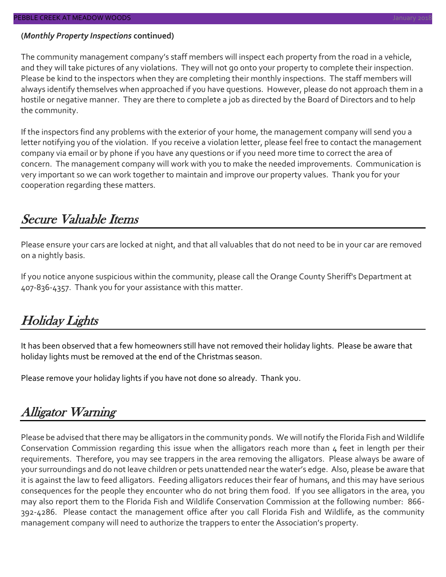#### **(***Monthly Property Inspections* **continued)**

The community management company's staff members will inspect each property from the road in a vehicle, and they will take pictures of any violations. They will not go onto your property to complete their inspection. Please be kind to the inspectors when they are completing their monthly inspections. The staff members will always identify themselves when approached if you have questions. However, please do not approach them in a hostile or negative manner. They are there to complete a job as directed by the Board of Directors and to help the community.

If the inspectors find any problems with the exterior of your home, the management company will send you a letter notifying you of the violation. If you receive a violation letter, please feel free to contact the management company via email or by phone if you have any questions or if you need more time to correct the area of concern. The management company will work with you to make the needed improvements. Communication is very important so we can work together to maintain and improve our property values. Thank you for your cooperation regarding these matters.

#### Secure Valuable Items

Please ensure your cars are locked at night, and that all valuables that do not need to be in your car are removed on a nightly basis.

If you notice anyone suspicious within the community, please call the Orange County Sheriff's Department at 407-836-4357. Thank you for your assistance with this matter.

#### Holiday Lights

It has been observed that a few homeowners still have not removed their holiday lights. Please be aware that holiday lights must be removed at the end of the Christmas season.

Please remove your holiday lights if you have not done so already. Thank you.

#### Alligator Warning

Please be advised that there may be alligators in the community ponds. We will notify the Florida Fish and Wildlife Conservation Commission regarding this issue when the alligators reach more than 4 feet in length per their requirements. Therefore, you may see trappers in the area removing the alligators. Please always be aware of your surroundings and do not leave children or pets unattended near the water's edge. Also, please be aware that it is against the law to feed alligators. Feeding alligators reduces their fear of humans, and this may have serious consequences for the people they encounter who do not bring them food. If you see alligators in the area, you may also report them to the Florida Fish and Wildlife Conservation Commission at the following number: 866- 392-4286. Please contact the management office after you call Florida Fish and Wildlife, as the community management company will need to authorize the trappers to enter the Association's property.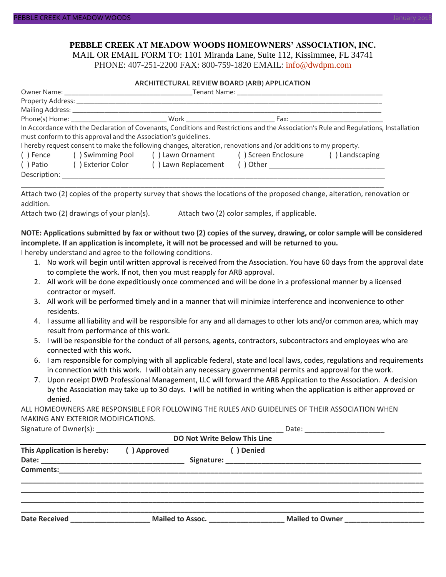#### **PEBBLE CREEK AT MEADOW WOODS HOMEOWNERS' ASSOCIATION, INC.** MAIL OR EMAIL FORM TO: 1101 Miranda Lane, Suite 112, Kissimmee, FL 34741

PHONE: 407-251-2200 FAX: 800-759-1820 EMAIL: [info@dwdpm.com](mailto:info@dwdpm.com)

#### **ARCHITECTURAL REVIEW BOARD (ARB) APPLICATION**

|           | must conform to this approval and the Association's quidelines. | I hereby request consent to make the following changes, alteration, renovations and /or additions to my property.                                                                                                             |                                              | In Accordance with the Declaration of Covenants, Conditions and Restrictions and the Association's Rule and Regulations, Installation |  |  |  |  |
|-----------|-----------------------------------------------------------------|-------------------------------------------------------------------------------------------------------------------------------------------------------------------------------------------------------------------------------|----------------------------------------------|---------------------------------------------------------------------------------------------------------------------------------------|--|--|--|--|
|           |                                                                 | () Fence () Swimming Pool () Lawn Ornament () Screen Enclosure () Landscaping                                                                                                                                                 |                                              |                                                                                                                                       |  |  |  |  |
|           |                                                                 | () Patio () Exterior Color () Lawn Replacement () Other ________________________                                                                                                                                              |                                              |                                                                                                                                       |  |  |  |  |
|           |                                                                 | Description: Network and the second state of the second state of the second state of the second state of the second state of the second state of the second state of the second state of the second state of the second state |                                              |                                                                                                                                       |  |  |  |  |
| addition. | Attach two (2) drawings of your plan(s).                        |                                                                                                                                                                                                                               | Attach two (2) color samples, if applicable. | Attach two (2) copies of the property survey that shows the locations of the proposed change, alteration, renovation or               |  |  |  |  |
|           |                                                                 |                                                                                                                                                                                                                               |                                              |                                                                                                                                       |  |  |  |  |

**NOTE: Applications submitted by fax or without two (2) copies of the survey, drawing, or color sample will be considered incomplete. If an application is incomplete, it will not be processed and will be returned to you.** I hereby understand and agree to the following conditions.

- 1. No work will begin until written approval is received from the Association. You have 60 days from the approval date to complete the work. If not, then you must reapply for ARB approval.
- 2. All work will be done expeditiously once commenced and will be done in a professional manner by a licensed contractor or myself.
- 3. All work will be performed timely and in a manner that will minimize interference and inconvenience to other residents.
- 4. I assume all liability and will be responsible for any and all damages to other lots and/or common area, which may result from performance of this work.
- 5. I will be responsible for the conduct of all persons, agents, contractors, subcontractors and employees who are connected with this work.
- 6. I am responsible for complying with all applicable federal, state and local laws, codes, regulations and requirements in connection with this work. I will obtain any necessary governmental permits and approval for the work.
- 7. Upon receipt DWD Professional Management, LLC will forward the ARB Application to the Association. A decision by the Association may take up to 30 days. I will be notified in writing when the application is either approved or denied.

ALL HOMEOWNERS ARE RESPONSIBLE FOR FOLLOWING THE RULES AND GUIDELINES OF THEIR ASSOCIATION WHEN MAKING ANY EXTERIOR MODIFICATIONS.

|                              |                         | Date: <u>_______________________</u> |                        |  |  |  |  |  |  |
|------------------------------|-------------------------|--------------------------------------|------------------------|--|--|--|--|--|--|
| DO Not Write Below This Line |                         |                                      |                        |  |  |  |  |  |  |
| This Application is hereby:  | () Approved             | () Denied                            |                        |  |  |  |  |  |  |
|                              |                         |                                      |                        |  |  |  |  |  |  |
|                              |                         |                                      |                        |  |  |  |  |  |  |
|                              |                         |                                      |                        |  |  |  |  |  |  |
|                              |                         |                                      |                        |  |  |  |  |  |  |
|                              |                         |                                      |                        |  |  |  |  |  |  |
|                              |                         |                                      |                        |  |  |  |  |  |  |
| <b>Date Received</b>         | <b>Mailed to Assoc.</b> |                                      | <b>Mailed to Owner</b> |  |  |  |  |  |  |